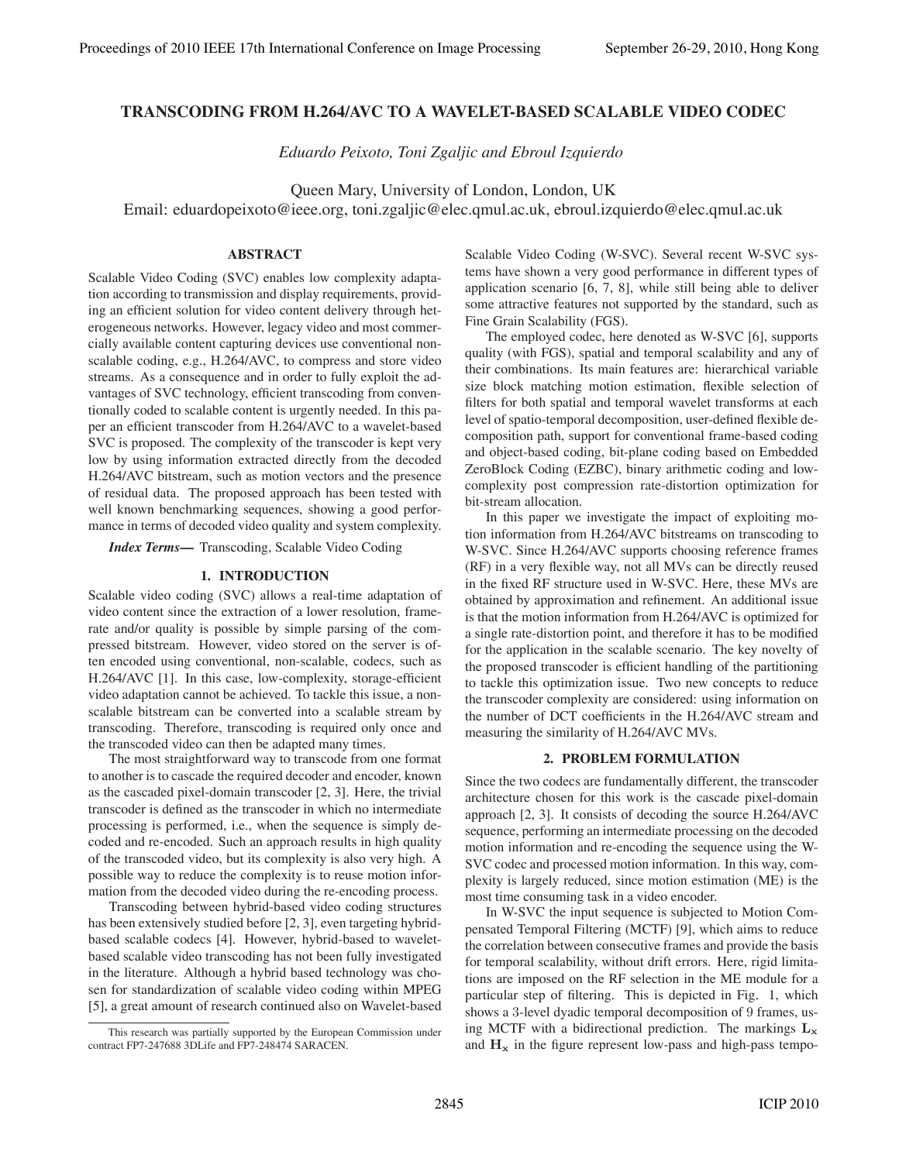# **TRANSCODING FROM H.264/AVC TO A WAVELET-BASED SCALABLE VIDEO CODEC**

*Eduardo Peixoto, Toni Zgaljic and Ebroul Izquierdo*

Queen Mary, University of London, London, UK

Email: eduardopeixoto@ieee.org, toni.zgaljic@elec.qmul.ac.uk, ebroul.izquierdo@elec.qmul.ac.uk

# **ABSTRACT**

Scalable Video Coding (SVC) enables low complexity adaptation according to transmission and display requirements, providing an efficient solution for video content delivery through heterogeneous networks. However, legacy video and most commercially available content capturing devices use conventional nonscalable coding, e.g., H.264/AVC, to compress and store video streams. As a consequence and in order to fully exploit the advantages of SVC technology, efficient transcoding from conventionally coded to scalable content is urgently needed. In this paper an efficient transcoder from H.264/AVC to a wavelet-based SVC is proposed. The complexity of the transcoder is kept very low by using information extracted directly from the decoded H.264/AVC bitstream, such as motion vectors and the presence of residual data. The proposed approach has been tested with well known benchmarking sequences, showing a good performance in terms of decoded video quality and system complexity.

*Index Terms***—** Transcoding, Scalable Video Coding

## **1. INTRODUCTION**

Scalable video coding (SVC) allows a real-time adaptation of video content since the extraction of a lower resolution, framerate and/or quality is possible by simple parsing of the compressed bitstream. However, video stored on the server is often encoded using conventional, non-scalable, codecs, such as H.264/AVC [1]. In this case, low-complexity, storage-efficient video adaptation cannot be achieved. To tackle this issue, a nonscalable bitstream can be converted into a scalable stream by transcoding. Therefore, transcoding is required only once and the transcoded video can then be adapted many times.

The most straightforward way to transcode from one format to another is to cascade the required decoder and encoder, known as the cascaded pixel-domain transcoder [2, 3]. Here, the trivial transcoder is defined as the transcoder in which no intermediate processing is performed, i.e., when the sequence is simply decoded and re-encoded. Such an approach results in high quality of the transcoded video, but its complexity is also very high. A possible way to reduce the complexity is to reuse motion information from the decoded video during the re-encoding process.

Transcoding between hybrid-based video coding structures has been extensively studied before [2, 3], even targeting hybridbased scalable codecs [4]. However, hybrid-based to waveletbased scalable video transcoding has not been fully investigated in the literature. Although a hybrid based technology was chosen for standardization of scalable video coding within MPEG [5], a great amount of research continued also on Wavelet-based

Scalable Video Coding (W-SVC). Several recent W-SVC systems have shown a very good performance in different types of application scenario [6, 7, 8], while still being able to deliver some attractive features not supported by the standard, such as Fine Grain Scalability (FGS).

The employed codec, here denoted as W-SVC [6], supports quality (with FGS), spatial and temporal scalability and any of their combinations. Its main features are: hierarchical variable size block matching motion estimation, flexible selection of filters for both spatial and temporal wavelet transforms at each level of spatio-temporal decomposition, user-defined flexible decomposition path, support for conventional frame-based coding and object-based coding, bit-plane coding based on Embedded ZeroBlock Coding (EZBC), binary arithmetic coding and lowcomplexity post compression rate-distortion optimization for bit-stream allocation.

In this paper we investigate the impact of exploiting motion information from H.264/AVC bitstreams on transcoding to W-SVC. Since H.264/AVC supports choosing reference frames (RF) in a very flexible way, not all MVs can be directly reused in the fixed RF structure used in W-SVC. Here, these MVs are obtained by approximation and refinement. An additional issue is that the motion information from H.264/AVC is optimized for a single rate-distortion point, and therefore it has to be modified for the application in the scalable scenario. The key novelty of the proposed transcoder is efficient handling of the partitioning to tackle this optimization issue. Two new concepts to reduce the transcoder complexity are considered: using information on the number of DCT coefficients in the H.264/AVC stream and measuring the similarity of H.264/AVC MVs.

# **2. PROBLEM FORMULATION**

Since the two codecs are fundamentally different, the transcoder architecture chosen for this work is the cascade pixel-domain approach [2, 3]. It consists of decoding the source H.264/AVC sequence, performing an intermediate processing on the decoded motion information and re-encoding the sequence using the W-SVC codec and processed motion information. In this way, complexity is largely reduced, since motion estimation (ME) is the most time consuming task in a video encoder.

In W-SVC the input sequence is subjected to Motion Compensated Temporal Filtering (MCTF) [9], which aims to reduce the correlation between consecutive frames and provide the basis for temporal scalability, without drift errors. Here, rigid limitations are imposed on the RF selection in the ME module for a particular step of filtering. This is depicted in Fig. 1, which shows a 3-level dyadic temporal decomposition of 9 frames, using MCTF with a bidirectional prediction. The markings  $L_x$ and  $\mathbf{H}_{\mathbf{x}}$  in the figure represent low-pass and high-pass tempo-

This research was partially supported by the European Commission under contract FP7-247688 3DLife and FP7-248474 SARACEN.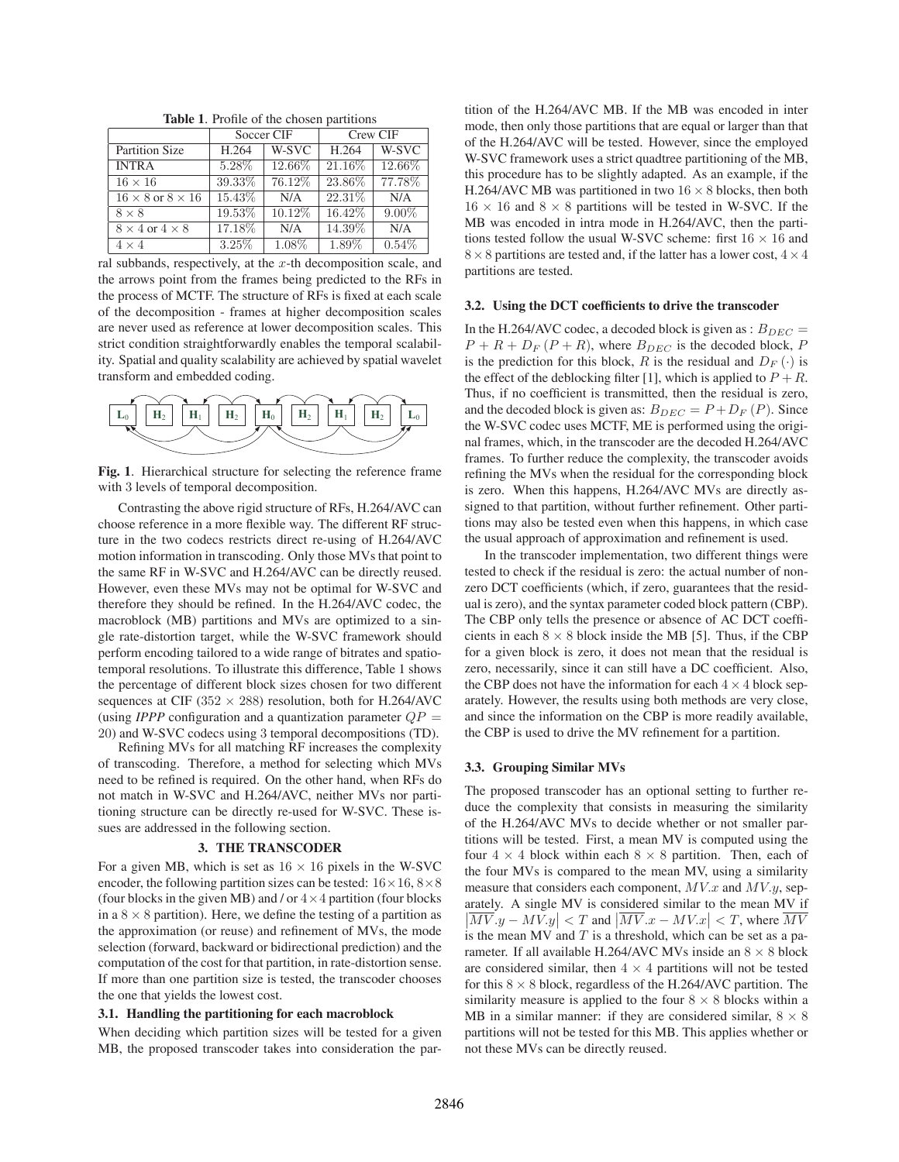|                                | Soccer CIF |        | Crew CIF |          |  |  |
|--------------------------------|------------|--------|----------|----------|--|--|
| Partition Size                 | H.264      | W-SVC  | H.264    | W-SVC    |  |  |
| <b>INTRA</b>                   | 5.28%      | 12.66% | 21.16%   | 12.66%   |  |  |
| $16 \times 16$                 | 39.33%     | 76.12% | 23.86%   | 77.78%   |  |  |
| $16 \times 8$ or $8 \times 16$ | 15.43%     | N/A    | 22.31%   | N/A      |  |  |
| $8 \times 8$                   | 19.53%     | 10.12% | 16.42%   | $9.00\%$ |  |  |
| $8 \times 4$ or $4 \times 8$   | 17.18%     | N/A    | 14.39%   | N/A      |  |  |
| $4 \times 4$                   | 3.25%      | 1.08%  | 1.89%    | 0.54%    |  |  |

**Table 1**. Profile of the chosen partitions

ral subbands, respectively, at the  $x$ -th decomposition scale, and the arrows point from the frames being predicted to the RFs in the process of MCTF. The structure of RFs is fixed at each scale of the decomposition - frames at higher decomposition scales are never used as reference at lower decomposition scales. This strict condition straightforwardly enables the temporal scalability. Spatial and quality scalability are achieved by spatial wavelet transform and embedded coding.



**Fig. 1**. Hierarchical structure for selecting the reference frame with 3 levels of temporal decomposition.

Contrasting the above rigid structure of RFs, H.264/AVC can choose reference in a more flexible way. The different RF structure in the two codecs restricts direct re-using of H.264/AVC motion information in transcoding. Only those MVs that point to the same RF in W-SVC and H.264/AVC can be directly reused. However, even these MVs may not be optimal for W-SVC and therefore they should be refined. In the H.264/AVC codec, the macroblock (MB) partitions and MVs are optimized to a single rate-distortion target, while the W-SVC framework should perform encoding tailored to a wide range of bitrates and spatiotemporal resolutions. To illustrate this difference, Table 1 shows the percentage of different block sizes chosen for two different sequences at CIF (352  $\times$  288) resolution, both for H.264/AVC (using *IPPP* configuration and a quantization parameter  $QP =$ 20) and W-SVC codecs using 3 temporal decompositions (TD).

Refining MVs for all matching RF increases the complexity of transcoding. Therefore, a method for selecting which MVs need to be refined is required. On the other hand, when RFs do not match in W-SVC and H.264/AVC, neither MVs nor partitioning structure can be directly re-used for W-SVC. These issues are addressed in the following section.

#### **3. THE TRANSCODER**

For a given MB, which is set as  $16 \times 16$  pixels in the W-SVC encoder, the following partition sizes can be tested:  $16 \times 16$ ,  $8 \times 8$ (four blocks in the given MB) and / or  $4 \times 4$  partition (four blocks in a  $8 \times 8$  partition). Here, we define the testing of a partition as the approximation (or reuse) and refinement of MVs, the mode selection (forward, backward or bidirectional prediction) and the computation of the cost for that partition, in rate-distortion sense. If more than one partition size is tested, the transcoder chooses the one that yields the lowest cost.

### **3.1. Handling the partitioning for each macroblock**

When deciding which partition sizes will be tested for a given MB, the proposed transcoder takes into consideration the partition of the H.264/AVC MB. If the MB was encoded in inter mode, then only those partitions that are equal or larger than that of the H.264/AVC will be tested. However, since the employed W-SVC framework uses a strict quadtree partitioning of the MB, this procedure has to be slightly adapted. As an example, if the H.264/AVC MB was partitioned in two  $16 \times 8$  blocks, then both  $16 \times 16$  and  $8 \times 8$  partitions will be tested in W-SVC. If the MB was encoded in intra mode in H.264/AVC, then the partitions tested follow the usual W-SVC scheme: first  $16 \times 16$  and  $8 \times 8$  partitions are tested and, if the latter has a lower cost,  $4 \times 4$ partitions are tested.

### **3.2. Using the DCT coefficients to drive the transcoder**

In the H.264/AVC codec, a decoded block is given as :  $B_{DEC} =$  $P + R + D_F (P + R)$ , where  $B_{DEC}$  is the decoded block, P is the prediction for this block, R is the residual and  $D_F(\cdot)$  is the effect of the deblocking filter [1], which is applied to  $P + R$ . Thus, if no coefficient is transmitted, then the residual is zero, and the decoded block is given as:  $B_{DEC} = P + D_F (P)$ . Since the W-SVC codec uses MCTF, ME is performed using the original frames, which, in the transcoder are the decoded H.264/AVC frames. To further reduce the complexity, the transcoder avoids refining the MVs when the residual for the corresponding block is zero. When this happens, H.264/AVC MVs are directly assigned to that partition, without further refinement. Other partitions may also be tested even when this happens, in which case the usual approach of approximation and refinement is used.

In the transcoder implementation, two different things were tested to check if the residual is zero: the actual number of nonzero DCT coefficients (which, if zero, guarantees that the residual is zero), and the syntax parameter coded block pattern (CBP). The CBP only tells the presence or absence of AC DCT coefficients in each  $8 \times 8$  block inside the MB [5]. Thus, if the CBP for a given block is zero, it does not mean that the residual is zero, necessarily, since it can still have a DC coefficient. Also, the CBP does not have the information for each  $4 \times 4$  block separately. However, the results using both methods are very close, and since the information on the CBP is more readily available, the CBP is used to drive the MV refinement for a partition.

## **3.3. Grouping Similar MVs**

The proposed transcoder has an optional setting to further reduce the complexity that consists in measuring the similarity of the H.264/AVC MVs to decide whether or not smaller partitions will be tested. First, a mean MV is computed using the four  $4 \times 4$  block within each  $8 \times 8$  partition. Then, each of the four MVs is compared to the mean MV, using a similarity measure that considers each component,  $MV.x$  and  $MV.y$ , separately. A single MV is considered similar to the mean MV if  $\left|\overline{MV}.y - \overline{MV}.y\right| < T$  and  $\left|\overline{MV}.x - \overline{MV}.x\right| < T$ , where  $\overline{MV}$ is the mean MV and  $T$  is a threshold, which can be set as a parameter. If all available H.264/AVC MVs inside an  $8 \times 8$  block are considered similar, then  $4 \times 4$  partitions will not be tested for this  $8 \times 8$  block, regardless of the H.264/AVC partition. The similarity measure is applied to the four  $8 \times 8$  blocks within a MB in a similar manner: if they are considered similar,  $8 \times 8$ partitions will not be tested for this MB. This applies whether or not these MVs can be directly reused.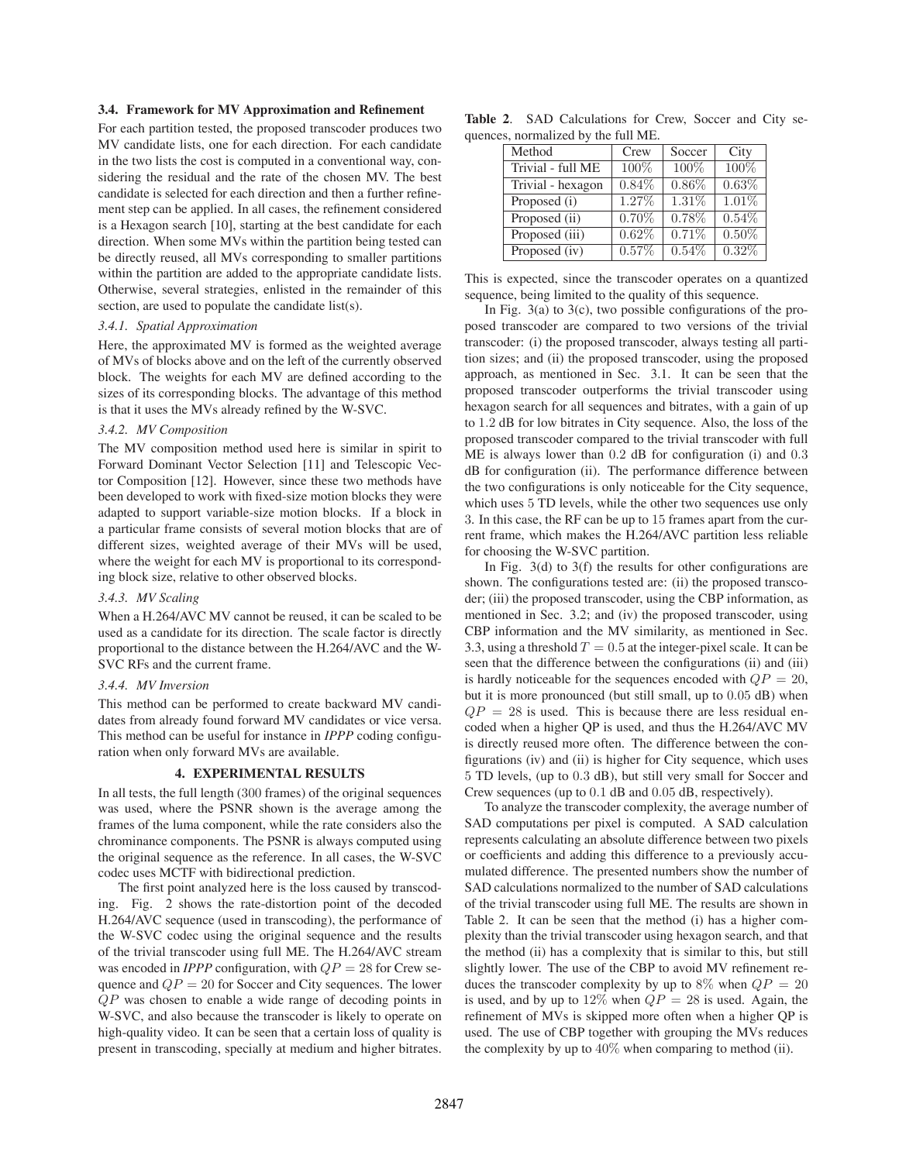# **3.4. Framework for MV Approximation and Refinement**

For each partition tested, the proposed transcoder produces two MV candidate lists, one for each direction. For each candidate in the two lists the cost is computed in a conventional way, considering the residual and the rate of the chosen MV. The best candidate is selected for each direction and then a further refinement step can be applied. In all cases, the refinement considered is a Hexagon search [10], starting at the best candidate for each direction. When some MVs within the partition being tested can be directly reused, all MVs corresponding to smaller partitions within the partition are added to the appropriate candidate lists. Otherwise, several strategies, enlisted in the remainder of this section, are used to populate the candidate list(s).

## *3.4.1. Spatial Approximation*

Here, the approximated MV is formed as the weighted average of MVs of blocks above and on the left of the currently observed block. The weights for each MV are defined according to the sizes of its corresponding blocks. The advantage of this method is that it uses the MVs already refined by the W-SVC.

### *3.4.2. MV Composition*

The MV composition method used here is similar in spirit to Forward Dominant Vector Selection [11] and Telescopic Vector Composition [12]. However, since these two methods have been developed to work with fixed-size motion blocks they were adapted to support variable-size motion blocks. If a block in a particular frame consists of several motion blocks that are of different sizes, weighted average of their MVs will be used, where the weight for each MV is proportional to its corresponding block size, relative to other observed blocks.

## *3.4.3. MV Scaling*

When a H.264/AVC MV cannot be reused, it can be scaled to be used as a candidate for its direction. The scale factor is directly proportional to the distance between the H.264/AVC and the W-SVC RFs and the current frame.

## *3.4.4. MV Inversion*

This method can be performed to create backward MV candidates from already found forward MV candidates or vice versa. This method can be useful for instance in *IPPP* coding configuration when only forward MVs are available.

### **4. EXPERIMENTAL RESULTS**

In all tests, the full length (300 frames) of the original sequences was used, where the PSNR shown is the average among the frames of the luma component, while the rate considers also the chrominance components. The PSNR is always computed using the original sequence as the reference. In all cases, the W-SVC codec uses MCTF with bidirectional prediction.

The first point analyzed here is the loss caused by transcoding. Fig. 2 shows the rate-distortion point of the decoded H.264/AVC sequence (used in transcoding), the performance of the W-SVC codec using the original sequence and the results of the trivial transcoder using full ME. The H.264/AVC stream was encoded in *IPPP* configuration, with  $QP = 28$  for Crew sequence and  $QP = 20$  for Soccer and City sequences. The lower QP was chosen to enable a wide range of decoding points in W-SVC, and also because the transcoder is likely to operate on high-quality video. It can be seen that a certain loss of quality is present in transcoding, specially at medium and higher bitrates.

|  | <b>Table 2.</b> SAD Calculations for Crew, Soccer and City se- |  |  |  |
|--|----------------------------------------------------------------|--|--|--|
|  | quences, normalized by the full ME.                            |  |  |  |

| Method            | Crew     | Soccer   | City     |
|-------------------|----------|----------|----------|
| Trivial - full ME | 100%     | 100%     | 100%     |
| Trivial - hexagon | $0.84\%$ | $0.86\%$ | 0.63%    |
| Proposed (i)      | 1.27%    | 1.31%    | 1.01%    |
| Proposed (ii)     | $0.70\%$ | 0.78%    | 0.54%    |
| Proposed (iii)    | $0.62\%$ | 0.71%    | $0.50\%$ |
| Proposed (iv)     | 0.57%    | 0.54%    | 0.32%    |

This is expected, since the transcoder operates on a quantized sequence, being limited to the quality of this sequence.

In Fig. 3(a) to 3(c), two possible configurations of the proposed transcoder are compared to two versions of the trivial transcoder: (i) the proposed transcoder, always testing all partition sizes; and (ii) the proposed transcoder, using the proposed approach, as mentioned in Sec. 3.1. It can be seen that the proposed transcoder outperforms the trivial transcoder using hexagon search for all sequences and bitrates, with a gain of up to 1.2 dB for low bitrates in City sequence. Also, the loss of the proposed transcoder compared to the trivial transcoder with full ME is always lower than 0.2 dB for configuration (i) and 0.3 dB for configuration (ii). The performance difference between the two configurations is only noticeable for the City sequence, which uses 5 TD levels, while the other two sequences use only 3. In this case, the RF can be up to 15 frames apart from the current frame, which makes the H.264/AVC partition less reliable for choosing the W-SVC partition.

In Fig.  $3(d)$  to  $3(f)$  the results for other configurations are shown. The configurations tested are: (ii) the proposed transcoder; (iii) the proposed transcoder, using the CBP information, as mentioned in Sec. 3.2; and (iv) the proposed transcoder, using CBP information and the MV similarity, as mentioned in Sec. 3.3, using a threshold  $T = 0.5$  at the integer-pixel scale. It can be seen that the difference between the configurations (ii) and (iii) is hardly noticeable for the sequences encoded with  $QP = 20$ , but it is more pronounced (but still small, up to 0.05 dB) when  $QP = 28$  is used. This is because there are less residual encoded when a higher QP is used, and thus the H.264/AVC MV is directly reused more often. The difference between the configurations (iv) and (ii) is higher for City sequence, which uses 5 TD levels, (up to 0.3 dB), but still very small for Soccer and Crew sequences (up to 0.1 dB and 0.05 dB, respectively).

To analyze the transcoder complexity, the average number of SAD computations per pixel is computed. A SAD calculation represents calculating an absolute difference between two pixels or coefficients and adding this difference to a previously accumulated difference. The presented numbers show the number of SAD calculations normalized to the number of SAD calculations of the trivial transcoder using full ME. The results are shown in Table 2. It can be seen that the method (i) has a higher complexity than the trivial transcoder using hexagon search, and that the method (ii) has a complexity that is similar to this, but still slightly lower. The use of the CBP to avoid MV refinement reduces the transcoder complexity by up to 8% when  $QP = 20$ is used, and by up to 12% when  $QP = 28$  is used. Again, the refinement of MVs is skipped more often when a higher QP is used. The use of CBP together with grouping the MVs reduces the complexity by up to  $40\%$  when comparing to method (ii).